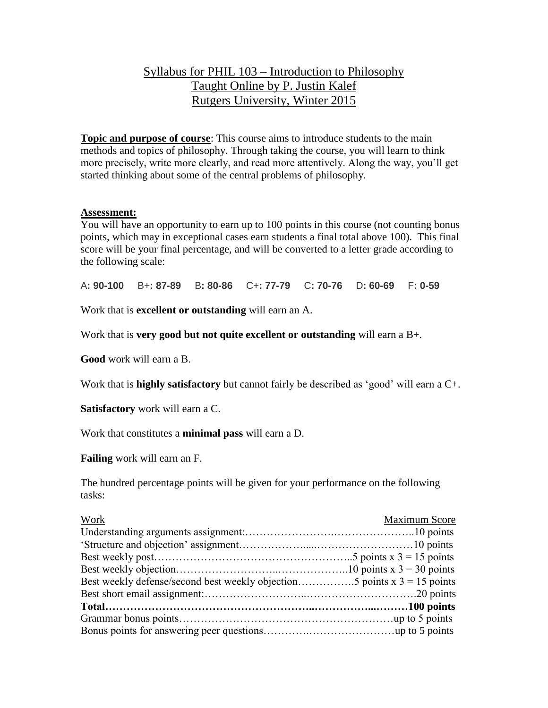# Syllabus for PHIL 103 – Introduction to Philosophy Taught Online by P. Justin Kalef Rutgers University, Winter 2015

**Topic and purpose of course**: This course aims to introduce students to the main methods and topics of philosophy. Through taking the course, you will learn to think more precisely, write more clearly, and read more attentively. Along the way, you'll get started thinking about some of the central problems of philosophy.

#### **Assessment:**

You will have an opportunity to earn up to 100 points in this course (not counting bonus points, which may in exceptional cases earn students a final total above 100). This final score will be your final percentage, and will be converted to a letter grade according to the following scale:

A**: 90-100** B+**: 87-89** B**: 80-86** C+**: 77-79** C**: 70-76** D**: 60-69** F**: 0-59**

Work that is **excellent or outstanding** will earn an A.

Work that is **very good but not quite excellent or outstanding** will earn a B+.

**Good** work will earn a B.

Work that is **highly satisfactory** but cannot fairly be described as 'good' will earn a C+.

**Satisfactory** work will earn a C.

Work that constitutes a **minimal pass** will earn a D.

**Failing** work will earn an F.

The hundred percentage points will be given for your performance on the following tasks:

| Work                                                                         | Maximum Score |
|------------------------------------------------------------------------------|---------------|
|                                                                              |               |
|                                                                              |               |
|                                                                              |               |
|                                                                              |               |
| Best weekly defense/second best weekly objection5 points $x = 3 = 15$ points |               |
|                                                                              |               |
|                                                                              |               |
|                                                                              |               |
|                                                                              |               |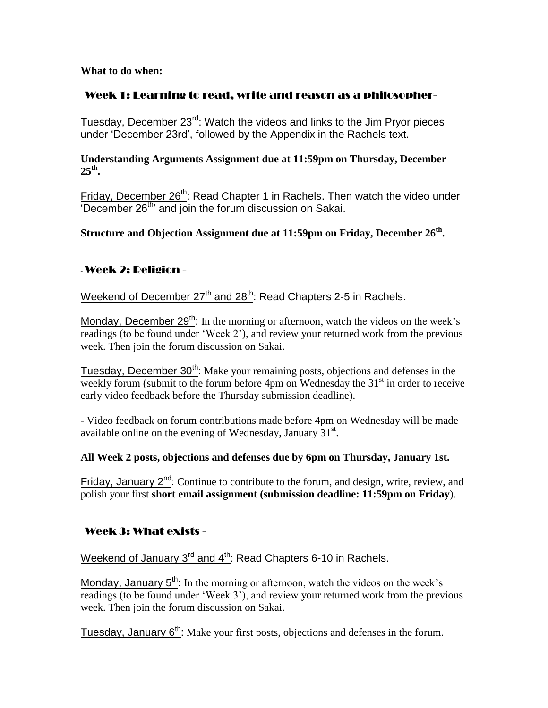#### **What to do when:**

### - Week 1: Learning to read, write and reason as a philosopher-

Tuesday, December 23<sup>rd</sup>: Watch the videos and links to the Jim Pryor pieces under 'December 23rd', followed by the Appendix in the Rachels text.

#### **Understanding Arguments Assignment due at 11:59pm on Thursday, December 25th .**

Friday, December 26<sup>th</sup>: Read Chapter 1 in Rachels. Then watch the video under 'December 26<sup>th</sup>' and join the forum discussion on Sakai.

**Structure and Objection Assignment due at 11:59pm on Friday, December 26th .**

## - Week 2: Religion -

Weekend of December  $27<sup>th</sup>$  and  $28<sup>th</sup>$ : Read Chapters 2-5 in Rachels.

Monday, December  $29<sup>th</sup>$ : In the morning or afternoon, watch the videos on the week's readings (to be found under 'Week 2'), and review your returned work from the previous week. Then join the forum discussion on Sakai.

Tuesday, December 30<sup>th</sup>: Make your remaining posts, objections and defenses in the weekly forum (submit to the forum before 4pm on Wednesday the  $31<sup>st</sup>$  in order to receive early video feedback before the Thursday submission deadline).

- Video feedback on forum contributions made before 4pm on Wednesday will be made available online on the evening of Wednesday, January  $31^{st}$ .

### **All Week 2 posts, objections and defenses due by 6pm on Thursday, January 1st.**

Friday, January 2<sup>nd</sup>: Continue to contribute to the forum, and design, write, review, and polish your first **short email assignment (submission deadline: 11:59pm on Friday**).

## - Week 3: What exists -

Weekend of January 3<sup>rd</sup> and 4<sup>th</sup>: Read Chapters 6-10 in Rachels.

Monday, January  $5<sup>th</sup>$ : In the morning or afternoon, watch the videos on the week's readings (to be found under 'Week 3'), and review your returned work from the previous week. Then join the forum discussion on Sakai.

Tuesday, January 6<sup>th</sup>: Make your first posts, objections and defenses in the forum.